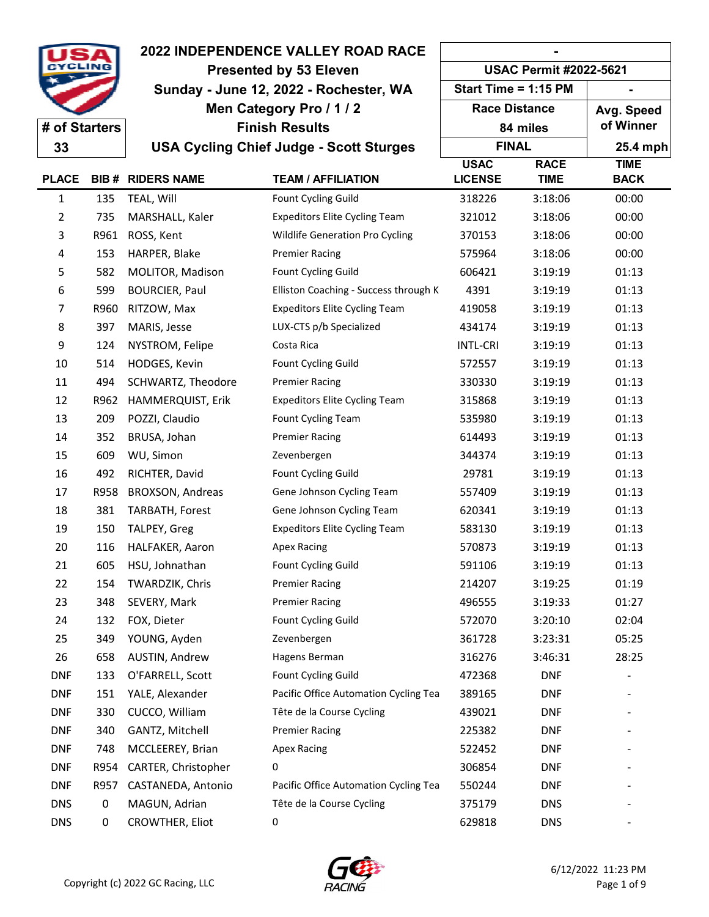|                |      | <b>2022 INDEPENDENCE VALLEY ROAD RACE</b> | <b>USAC Permit #2022-5621</b>                  |                      |             |             |
|----------------|------|-------------------------------------------|------------------------------------------------|----------------------|-------------|-------------|
|                |      | <b>Presented by 53 Eleven</b>             |                                                |                      |             |             |
|                |      | Sunday - June 12, 2022 - Rochester, WA    |                                                | Start Time = 1:15 PM |             |             |
|                |      |                                           | Men Category Pro / 1 / 2                       | <b>Race Distance</b> |             | Avg. Speed  |
| # of Starters  |      |                                           | <b>Finish Results</b>                          |                      | 84 miles    | of Winner   |
| 33             |      |                                           | <b>USA Cycling Chief Judge - Scott Sturges</b> | <b>FINAL</b>         |             | 25.4 mph    |
|                |      |                                           |                                                | <b>USAC</b>          | <b>RACE</b> | <b>TIME</b> |
| <b>PLACE</b>   |      | <b>BIB # RIDERS NAME</b>                  | <b>TEAM / AFFILIATION</b>                      | <b>LICENSE</b>       | <b>TIME</b> | <b>BACK</b> |
| $\mathbf{1}$   | 135  | TEAL, Will                                | Fount Cycling Guild                            | 318226               | 3:18:06     | 00:00       |
| $\overline{2}$ | 735  | MARSHALL, Kaler                           | <b>Expeditors Elite Cycling Team</b>           | 321012               | 3:18:06     | 00:00       |
| 3              | R961 | ROSS, Kent                                | Wildlife Generation Pro Cycling                | 370153               | 3:18:06     | 00:00       |
| 4              | 153  | HARPER, Blake                             | <b>Premier Racing</b>                          | 575964               | 3:18:06     | 00:00       |
| 5              | 582  | MOLITOR, Madison                          | Fount Cycling Guild                            | 606421               | 3:19:19     | 01:13       |
| 6              | 599  | <b>BOURCIER, Paul</b>                     | Elliston Coaching - Success through K          | 4391                 | 3:19:19     | 01:13       |
| 7              | R960 | RITZOW, Max                               | <b>Expeditors Elite Cycling Team</b>           | 419058               | 3:19:19     | 01:13       |
| 8              | 397  | MARIS, Jesse                              | LUX-CTS p/b Specialized                        | 434174               | 3:19:19     | 01:13       |
| 9              | 124  | NYSTROM, Felipe                           | Costa Rica                                     | <b>INTL-CRI</b>      | 3:19:19     | 01:13       |
| 10             | 514  | HODGES, Kevin                             | Fount Cycling Guild                            | 572557               | 3:19:19     | 01:13       |
| 11             | 494  | SCHWARTZ, Theodore                        | <b>Premier Racing</b>                          | 330330               | 3:19:19     | 01:13       |
| 12             | R962 | HAMMERQUIST, Erik                         | <b>Expeditors Elite Cycling Team</b>           | 315868               | 3:19:19     | 01:13       |
| 13             | 209  | POZZI, Claudio                            | Fount Cycling Team                             | 535980               | 3:19:19     | 01:13       |
| 14             | 352  | BRUSA, Johan                              | <b>Premier Racing</b>                          | 614493               | 3:19:19     | 01:13       |
| 15             | 609  | WU, Simon                                 | Zevenbergen                                    | 344374               | 3:19:19     | 01:13       |
| 16             | 492  | RICHTER, David                            | Fount Cycling Guild                            | 29781                | 3:19:19     | 01:13       |
| 17             | R958 | BROXSON, Andreas                          | Gene Johnson Cycling Team                      | 557409               | 3:19:19     | 01:13       |
| 18             | 381  | TARBATH, Forest                           | Gene Johnson Cycling Team                      | 620341               | 3:19:19     | 01:13       |
| 19             | 150  | TALPEY, Greg                              | <b>Expeditors Elite Cycling Team</b>           | 583130               | 3:19:19     | 01:13       |
| 20             | 116  | HALFAKER, Aaron                           | <b>Apex Racing</b>                             | 570873               | 3:19:19     | 01:13       |
| 21             |      | 605 HSU, Johnathan                        | Fount Cycling Guild                            | 591106               | 3:19:19     | 01:13       |
| 22             | 154  | TWARDZIK, Chris                           | <b>Premier Racing</b>                          | 214207               | 3:19:25     | 01:19       |
| 23             | 348  | SEVERY, Mark                              | <b>Premier Racing</b>                          | 496555               | 3:19:33     | 01:27       |
| 24             | 132  | FOX, Dieter                               | Fount Cycling Guild                            | 572070               | 3:20:10     | 02:04       |
| 25             | 349  | YOUNG, Ayden                              | Zevenbergen                                    | 361728               | 3:23:31     | 05:25       |
| 26             | 658  | AUSTIN, Andrew                            | Hagens Berman                                  | 316276               | 3:46:31     | 28:25       |
| <b>DNF</b>     | 133  | O'FARRELL, Scott                          | Fount Cycling Guild                            | 472368               | <b>DNF</b>  |             |
| <b>DNF</b>     | 151  | YALE, Alexander                           | Pacific Office Automation Cycling Tea          | 389165               | <b>DNF</b>  |             |
| <b>DNF</b>     | 330  | CUCCO, William                            | Tête de la Course Cycling                      | 439021               | <b>DNF</b>  |             |
| <b>DNF</b>     | 340  | GANTZ, Mitchell                           | <b>Premier Racing</b>                          | 225382               | <b>DNF</b>  |             |
| <b>DNF</b>     | 748  | MCCLEEREY, Brian                          | <b>Apex Racing</b>                             | 522452               | <b>DNF</b>  |             |
| <b>DNF</b>     | R954 | CARTER, Christopher                       | 0                                              | 306854               | <b>DNF</b>  |             |
| <b>DNF</b>     | R957 | CASTANEDA, Antonio                        | Pacific Office Automation Cycling Tea          | 550244               | <b>DNF</b>  |             |
| <b>DNS</b>     | 0    | MAGUN, Adrian                             | Tête de la Course Cycling                      | 375179               | <b>DNS</b>  |             |
| <b>DNS</b>     | 0    | CROWTHER, Eliot                           | 0                                              | 629818               | <b>DNS</b>  |             |
|                |      |                                           |                                                |                      |             |             |

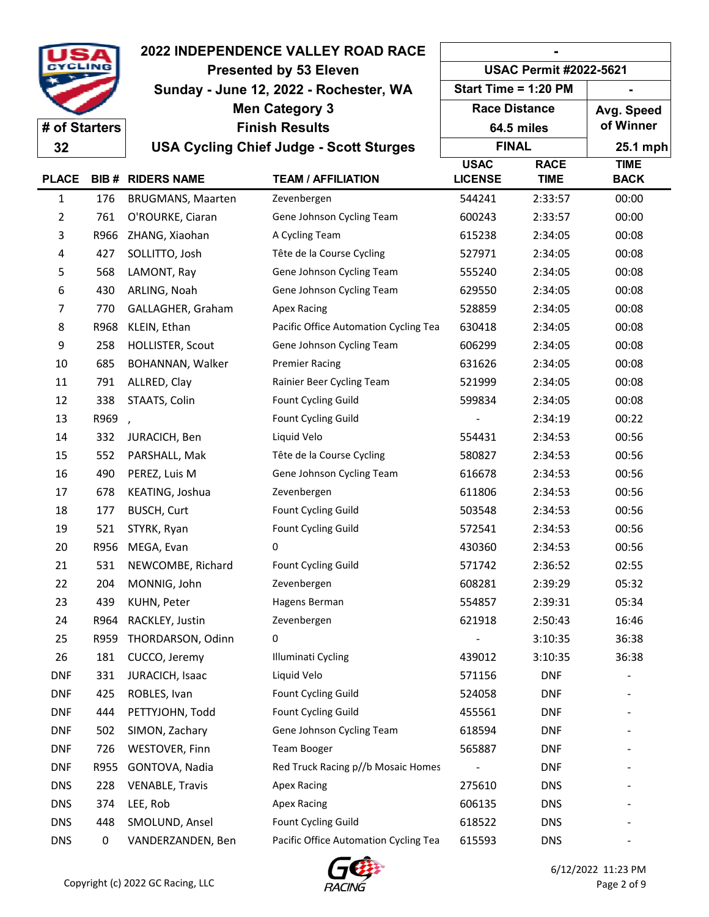|               |      | <b>2022 INDEPENDENCE VALLEY ROAD RACE</b> | <b>USAC Permit #2022-5621</b>                  |                      |             |                          |  |
|---------------|------|-------------------------------------------|------------------------------------------------|----------------------|-------------|--------------------------|--|
|               |      | <b>Presented by 53 Eleven</b>             |                                                |                      |             |                          |  |
|               |      | Sunday - June 12, 2022 - Rochester, WA    |                                                | Start Time = 1:20 PM |             |                          |  |
|               |      | <b>Men Category 3</b>                     |                                                | <b>Race Distance</b> |             | Avg. Speed               |  |
| # of Starters |      |                                           | <b>Finish Results</b>                          |                      | 64.5 miles  | of Winner                |  |
| 32            |      |                                           | <b>USA Cycling Chief Judge - Scott Sturges</b> | <b>FINAL</b>         |             | 25.1 mph                 |  |
|               |      |                                           |                                                | <b>USAC</b>          | <b>RACE</b> | <b>TIME</b>              |  |
| <b>PLACE</b>  |      | <b>BIB # RIDERS NAME</b>                  | <b>TEAM / AFFILIATION</b>                      | <b>LICENSE</b>       | <b>TIME</b> | <b>BACK</b>              |  |
| 1             | 176  | <b>BRUGMANS, Maarten</b>                  | Zevenbergen                                    | 544241               | 2:33:57     | 00:00                    |  |
| 2             | 761  | O'ROURKE, Ciaran                          | Gene Johnson Cycling Team                      | 600243               | 2:33:57     | 00:00                    |  |
| 3             | R966 | ZHANG, Xiaohan                            | A Cycling Team                                 | 615238               | 2:34:05     | 00:08                    |  |
| 4             | 427  | SOLLITTO, Josh                            | Tête de la Course Cycling                      | 527971               | 2:34:05     | 00:08                    |  |
| 5             | 568  | LAMONT, Ray                               | Gene Johnson Cycling Team                      | 555240               | 2:34:05     | 00:08                    |  |
| 6             | 430  | ARLING, Noah                              | Gene Johnson Cycling Team                      | 629550               | 2:34:05     | 00:08                    |  |
| 7             | 770  | GALLAGHER, Graham                         | <b>Apex Racing</b>                             | 528859               | 2:34:05     | 00:08                    |  |
| 8             | R968 | KLEIN, Ethan                              | Pacific Office Automation Cycling Tea          | 630418               | 2:34:05     | 00:08                    |  |
| 9             | 258  | HOLLISTER, Scout                          | Gene Johnson Cycling Team                      | 606299               | 2:34:05     | 00:08                    |  |
| 10            | 685  | BOHANNAN, Walker                          | <b>Premier Racing</b>                          | 631626               | 2:34:05     | 00:08                    |  |
| 11            | 791  | ALLRED, Clay                              | Rainier Beer Cycling Team                      | 521999               | 2:34:05     | 00:08                    |  |
| 12            | 338  | STAATS, Colin                             | Fount Cycling Guild                            | 599834               | 2:34:05     | 00:08                    |  |
| 13            | R969 | $\overline{ }$                            | Fount Cycling Guild                            |                      | 2:34:19     | 00:22                    |  |
| 14            | 332  | JURACICH, Ben                             | Liquid Velo                                    | 554431               | 2:34:53     | 00:56                    |  |
| 15            | 552  | PARSHALL, Mak                             | Tête de la Course Cycling                      | 580827               | 2:34:53     | 00:56                    |  |
| 16            | 490  | PEREZ, Luis M                             | Gene Johnson Cycling Team                      | 616678               | 2:34:53     | 00:56                    |  |
| 17            | 678  | KEATING, Joshua                           | Zevenbergen                                    | 611806               | 2:34:53     | 00:56                    |  |
| 18            | 177  | <b>BUSCH, Curt</b>                        | Fount Cycling Guild                            | 503548               | 2:34:53     | 00:56                    |  |
| 19            | 521  | STYRK, Ryan                               | Fount Cycling Guild                            | 572541               | 2:34:53     | 00:56                    |  |
| 20            | R956 | MEGA, Evan                                | 0                                              | 430360               | 2:34:53     | 00:56                    |  |
| 21            | 531  | NEWCOMBE, Richard                         | Fount Cycling Guild                            | 571742               | 2:36:52     | 02:55                    |  |
| 22            | 204  | MONNIG, John                              | Zevenbergen                                    | 608281               | 2:39:29     | 05:32                    |  |
| 23            | 439  | KUHN, Peter                               | Hagens Berman                                  | 554857               | 2:39:31     | 05:34                    |  |
| 24            | R964 | RACKLEY, Justin                           | Zevenbergen                                    | 621918               | 2:50:43     | 16:46                    |  |
| 25            | R959 | THORDARSON, Odinn                         | 0                                              |                      | 3:10:35     | 36:38                    |  |
| 26            | 181  | CUCCO, Jeremy                             | Illuminati Cycling                             | 439012               | 3:10:35     | 36:38                    |  |
| <b>DNF</b>    | 331  | JURACICH, Isaac                           | Liquid Velo                                    | 571156               | <b>DNF</b>  |                          |  |
| <b>DNF</b>    | 425  | ROBLES, Ivan                              | Fount Cycling Guild                            | 524058               | <b>DNF</b>  | $\overline{\phantom{a}}$ |  |
| <b>DNF</b>    | 444  | PETTYJOHN, Todd                           | Fount Cycling Guild                            | 455561               | <b>DNF</b>  |                          |  |
| <b>DNF</b>    | 502  | SIMON, Zachary                            | Gene Johnson Cycling Team                      | 618594               | <b>DNF</b>  |                          |  |
| <b>DNF</b>    | 726  | <b>WESTOVER, Finn</b>                     | Team Booger                                    | 565887               | <b>DNF</b>  |                          |  |
| <b>DNF</b>    | R955 | GONTOVA, Nadia                            | Red Truck Racing p//b Mosaic Homes             |                      | <b>DNF</b>  |                          |  |
| <b>DNS</b>    | 228  | <b>VENABLE, Travis</b>                    | <b>Apex Racing</b>                             | 275610               | <b>DNS</b>  |                          |  |
| <b>DNS</b>    | 374  | LEE, Rob                                  | <b>Apex Racing</b>                             | 606135               | <b>DNS</b>  |                          |  |
| <b>DNS</b>    | 448  | SMOLUND, Ansel                            | Fount Cycling Guild                            | 618522               | <b>DNS</b>  |                          |  |
| <b>DNS</b>    | 0    | VANDERZANDEN, Ben                         | Pacific Office Automation Cycling Tea          | 615593               | <b>DNS</b>  |                          |  |
|               |      |                                           |                                                |                      |             |                          |  |

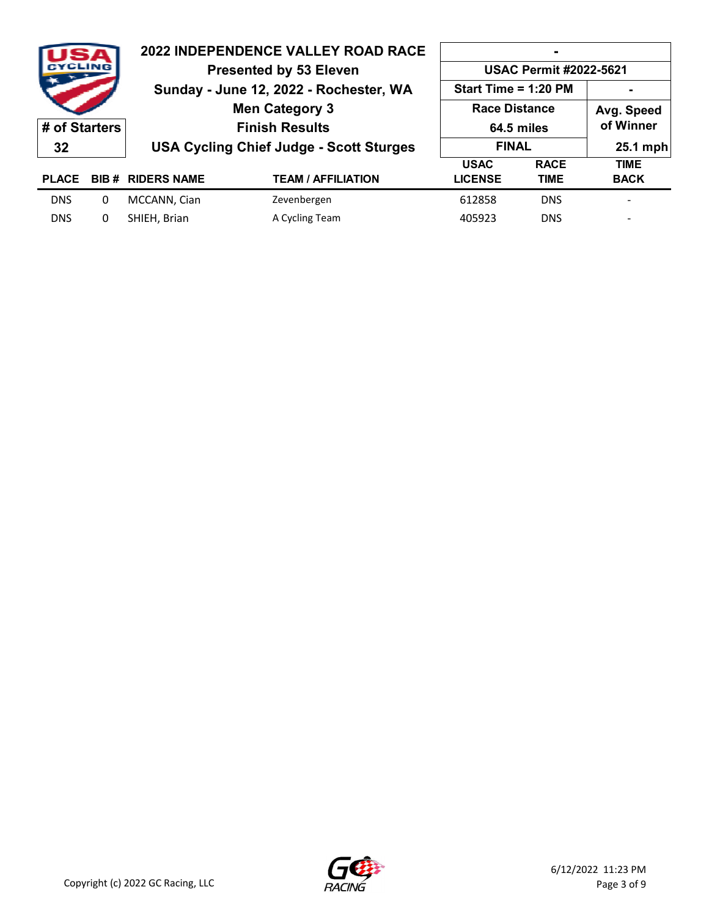| <b>CYCLING</b> |              | <b>2022 INDEPENDENCE VALLEY ROAD RACE</b><br><b>Presented by 53 Eleven</b> |                                        | <b>USAC Permit #2022-5621</b> |             |             |  |
|----------------|--------------|----------------------------------------------------------------------------|----------------------------------------|-------------------------------|-------------|-------------|--|
|                |              |                                                                            | Sunday - June 12, 2022 - Rochester, WA | Start Time = $1:20$ PM        |             |             |  |
|                |              | <b>Men Category 3</b>                                                      |                                        | <b>Race Distance</b>          |             | Avg. Speed  |  |
| # of Starters  |              | <b>Finish Results</b>                                                      |                                        | 64.5 miles                    |             | of Winner   |  |
| 32             |              | <b>USA Cycling Chief Judge - Scott Sturges</b>                             | <b>FINAL</b>                           |                               | 25.1 mph    |             |  |
|                |              |                                                                            |                                        | <b>USAC</b>                   | <b>RACE</b> | <b>TIME</b> |  |
| <b>PLACE</b>   |              | <b>BIB # RIDERS NAME</b>                                                   | <b>TEAM / AFFILIATION</b>              | <b>LICENSE</b>                | <b>TIME</b> | <b>BACK</b> |  |
| <b>DNS</b>     | $\mathbf{0}$ | MCCANN, Cian                                                               | Zevenbergen                            | 612858                        | <b>DNS</b>  |             |  |
| <b>DNS</b>     | 0            | SHIEH, Brian                                                               | A Cycling Team                         | 405923                        | <b>DNS</b>  |             |  |

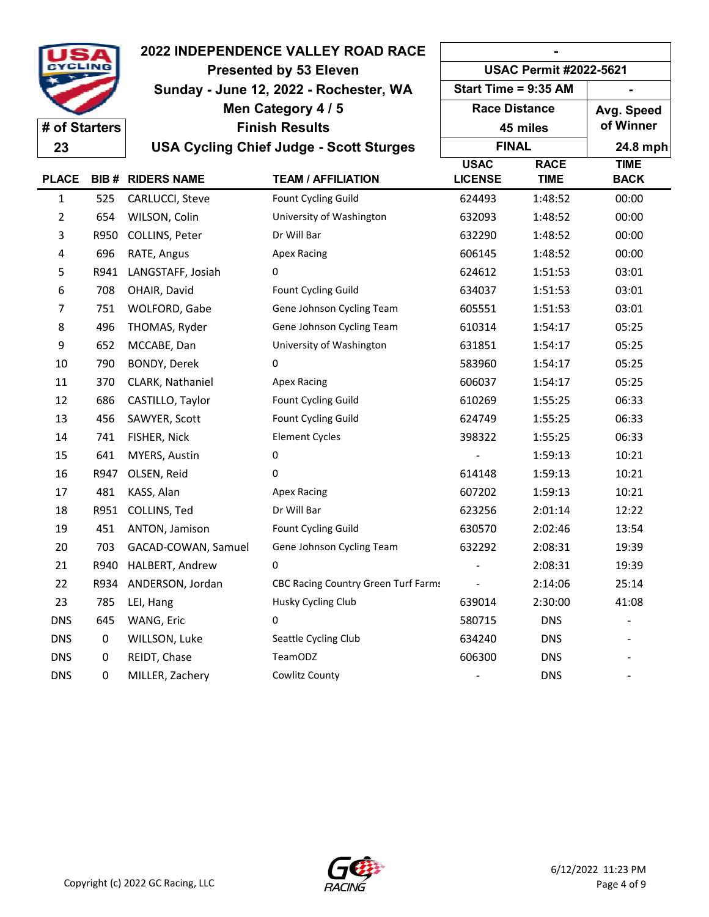|               |      | <b>2022 INDEPENDENCE VALLEY ROAD RACE</b> |                                                | <b>USAC Permit #2022-5621</b> |                            |                            |  |
|---------------|------|-------------------------------------------|------------------------------------------------|-------------------------------|----------------------------|----------------------------|--|
|               |      | <b>Presented by 53 Eleven</b>             |                                                |                               |                            |                            |  |
|               |      | Sunday - June 12, 2022 - Rochester, WA    |                                                | Start Time = 9:35 AM          |                            |                            |  |
|               |      |                                           | Men Category 4 / 5                             | <b>Race Distance</b>          |                            | Avg. Speed                 |  |
| # of Starters |      |                                           | <b>Finish Results</b>                          |                               | 45 miles                   | of Winner                  |  |
| 23            |      |                                           | <b>USA Cycling Chief Judge - Scott Sturges</b> | <b>FINAL</b>                  |                            | 24.8 mph                   |  |
| <b>PLACE</b>  |      | <b>BIB # RIDERS NAME</b>                  | <b>TEAM / AFFILIATION</b>                      | <b>USAC</b><br><b>LICENSE</b> | <b>RACE</b><br><b>TIME</b> | <b>TIME</b><br><b>BACK</b> |  |
| 1             | 525  | CARLUCCI, Steve                           | Fount Cycling Guild                            | 624493                        | 1:48:52                    | 00:00                      |  |
| 2             | 654  | WILSON, Colin                             | University of Washington                       | 632093                        | 1:48:52                    | 00:00                      |  |
| 3             | R950 | COLLINS, Peter                            | Dr Will Bar                                    | 632290                        | 1:48:52                    | 00:00                      |  |
| 4             | 696  | RATE, Angus                               | <b>Apex Racing</b>                             | 606145                        | 1:48:52                    | 00:00                      |  |
| 5             | R941 | LANGSTAFF, Josiah                         | 0                                              | 624612                        | 1:51:53                    | 03:01                      |  |
| 6             | 708  | OHAIR, David                              | Fount Cycling Guild                            | 634037                        | 1:51:53                    | 03:01                      |  |
| 7             | 751  | WOLFORD, Gabe                             | Gene Johnson Cycling Team                      | 605551                        | 1:51:53                    | 03:01                      |  |
| 8             | 496  | THOMAS, Ryder                             | Gene Johnson Cycling Team                      | 610314                        | 1:54:17                    | 05:25                      |  |
| 9             | 652  | MCCABE, Dan                               | University of Washington                       | 631851                        | 1:54:17                    | 05:25                      |  |
| 10            | 790  | BONDY, Derek                              | 0                                              | 583960                        | 1:54:17                    | 05:25                      |  |
| 11            | 370  | CLARK, Nathaniel                          | <b>Apex Racing</b>                             | 606037                        | 1:54:17                    | 05:25                      |  |
| 12            | 686  | CASTILLO, Taylor                          | Fount Cycling Guild                            | 610269                        | 1:55:25                    | 06:33                      |  |
| 13            | 456  | SAWYER, Scott                             | Fount Cycling Guild                            | 624749                        | 1:55:25                    | 06:33                      |  |
| 14            | 741  | FISHER, Nick                              | <b>Element Cycles</b>                          | 398322                        | 1:55:25                    | 06:33                      |  |
| 15            | 641  | MYERS, Austin                             | 0                                              |                               | 1:59:13                    | 10:21                      |  |
| 16            | R947 | OLSEN, Reid                               | 0                                              | 614148                        | 1:59:13                    | 10:21                      |  |
| 17            | 481  | KASS, Alan                                | <b>Apex Racing</b>                             | 607202                        | 1:59:13                    | 10:21                      |  |
| 18            | R951 | COLLINS, Ted                              | Dr Will Bar                                    | 623256                        | 2:01:14                    | 12:22                      |  |
| 19            | 451  | ANTON, Jamison                            | Fount Cycling Guild                            | 630570                        | 2:02:46                    | 13:54                      |  |
| 20            | 703  | GACAD-COWAN, Samuel                       | Gene Johnson Cycling Team                      | 632292                        | 2:08:31                    | 19:39                      |  |
| 21            | R940 | HALBERT, Andrew                           | 0                                              |                               | 2:08:31                    | 19:39                      |  |
| 22            | R934 | ANDERSON, Jordan                          | <b>CBC Racing Country Green Turf Farms</b>     |                               | 2:14:06                    | 25:14                      |  |
| 23            | 785  | LEI, Hang                                 | Husky Cycling Club                             | 639014                        | 2:30:00                    | 41:08                      |  |
| <b>DNS</b>    | 645  | WANG, Eric                                | 0                                              | 580715                        | <b>DNS</b>                 |                            |  |
| <b>DNS</b>    | 0    | WILLSON, Luke                             | Seattle Cycling Club                           | 634240                        | <b>DNS</b>                 |                            |  |
| <b>DNS</b>    | 0    | REIDT, Chase                              | TeamODZ                                        | 606300                        | <b>DNS</b>                 |                            |  |
| <b>DNS</b>    | 0    | MILLER, Zachery                           | Cowlitz County                                 |                               | <b>DNS</b>                 |                            |  |

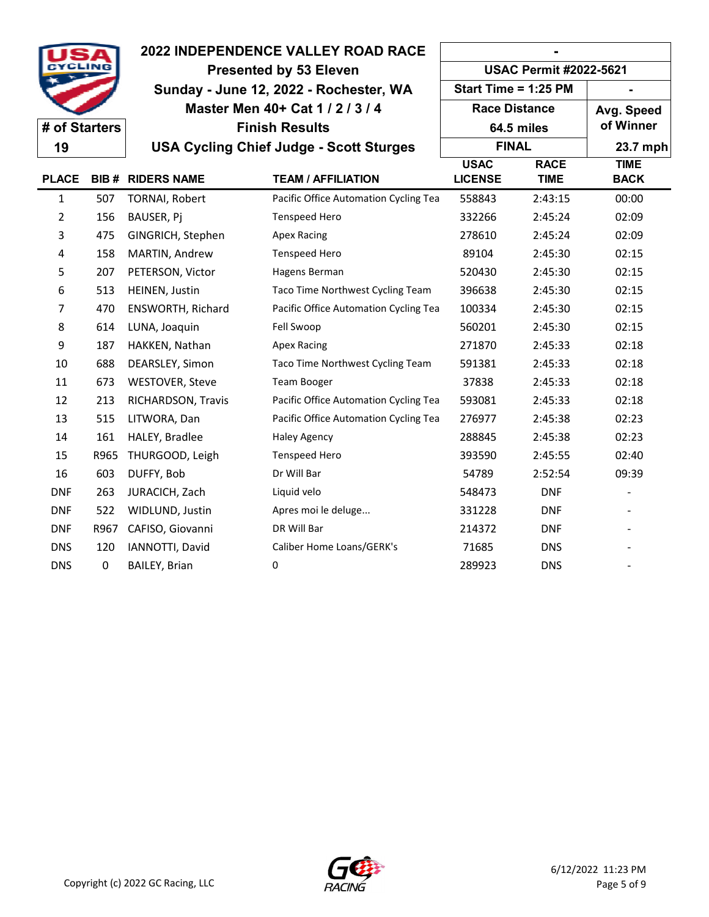|                |      | <b>2022 INDEPENDENCE VALLEY ROAD RACE</b><br><b>Presented by 53 Eleven</b> |                                                | <b>USAC Permit #2022-5621</b> |                            |                            |  |
|----------------|------|----------------------------------------------------------------------------|------------------------------------------------|-------------------------------|----------------------------|----------------------------|--|
|                |      |                                                                            |                                                |                               |                            |                            |  |
|                |      |                                                                            | Master Men 40+ Cat 1 / 2 / 3 / 4               | <b>Race Distance</b>          |                            | Avg. Speed                 |  |
| # of Starters  |      |                                                                            | <b>Finish Results</b>                          |                               | 64.5 miles                 | of Winner                  |  |
| 19             |      |                                                                            | <b>USA Cycling Chief Judge - Scott Sturges</b> | <b>FINAL</b>                  |                            | 23.7 mph                   |  |
| <b>PLACE</b>   |      | <b>BIB # RIDERS NAME</b>                                                   | <b>TEAM / AFFILIATION</b>                      | <b>USAC</b><br><b>LICENSE</b> | <b>RACE</b><br><b>TIME</b> | <b>TIME</b><br><b>BACK</b> |  |
| 1              | 507  | <b>TORNAI, Robert</b>                                                      | Pacific Office Automation Cycling Tea          | 558843                        | 2:43:15                    | 00:00                      |  |
| $\overline{2}$ | 156  | BAUSER, Pj                                                                 | <b>Tenspeed Hero</b>                           | 332266                        | 2:45:24                    | 02:09                      |  |
| 3              | 475  | GINGRICH, Stephen                                                          | <b>Apex Racing</b>                             | 278610                        | 2:45:24                    | 02:09                      |  |
| 4              | 158  | MARTIN, Andrew                                                             | <b>Tenspeed Hero</b>                           | 89104                         | 2:45:30                    | 02:15                      |  |
| 5              | 207  | PETERSON, Victor                                                           | Hagens Berman                                  | 520430                        | 2:45:30                    | 02:15                      |  |
| 6              | 513  | HEINEN, Justin                                                             | Taco Time Northwest Cycling Team               | 396638                        | 2:45:30                    | 02:15                      |  |
| 7              | 470  | <b>ENSWORTH, Richard</b>                                                   | Pacific Office Automation Cycling Tea          | 100334                        | 2:45:30                    | 02:15                      |  |
| 8              | 614  | LUNA, Joaquin                                                              | Fell Swoop                                     | 560201                        | 2:45:30                    | 02:15                      |  |
| 9              | 187  | HAKKEN, Nathan                                                             | <b>Apex Racing</b>                             | 271870                        | 2:45:33                    | 02:18                      |  |
| 10             | 688  | DEARSLEY, Simon                                                            | Taco Time Northwest Cycling Team               | 591381                        | 2:45:33                    | 02:18                      |  |
| 11             | 673  | WESTOVER, Steve                                                            | <b>Team Booger</b>                             | 37838                         | 2:45:33                    | 02:18                      |  |
| 12             | 213  | RICHARDSON, Travis                                                         | Pacific Office Automation Cycling Tea          | 593081                        | 2:45:33                    | 02:18                      |  |
| 13             | 515  | LITWORA, Dan                                                               | Pacific Office Automation Cycling Tea          | 276977                        | 2:45:38                    | 02:23                      |  |
| 14             | 161  | HALEY, Bradlee                                                             | <b>Haley Agency</b>                            | 288845                        | 2:45:38                    | 02:23                      |  |
| 15             | R965 | THURGOOD, Leigh                                                            | <b>Tenspeed Hero</b>                           | 393590                        | 2:45:55                    | 02:40                      |  |
| 16             | 603  | DUFFY, Bob                                                                 | Dr Will Bar                                    | 54789                         | 2:52:54                    | 09:39                      |  |
| <b>DNF</b>     | 263  | JURACICH, Zach                                                             | Liquid velo                                    | 548473                        | <b>DNF</b>                 |                            |  |
| <b>DNF</b>     | 522  | WIDLUND, Justin                                                            | Apres moi le deluge                            | 331228                        | <b>DNF</b>                 |                            |  |
| <b>DNF</b>     | R967 | CAFISO, Giovanni                                                           | DR Will Bar                                    | 214372                        | <b>DNF</b>                 |                            |  |
| <b>DNS</b>     | 120  | IANNOTTI, David                                                            | Caliber Home Loans/GERK's                      | 71685                         | <b>DNS</b>                 |                            |  |
| <b>DNS</b>     | 0    | <b>BAILEY, Brian</b>                                                       | 0                                              | 289923                        | <b>DNS</b>                 |                            |  |

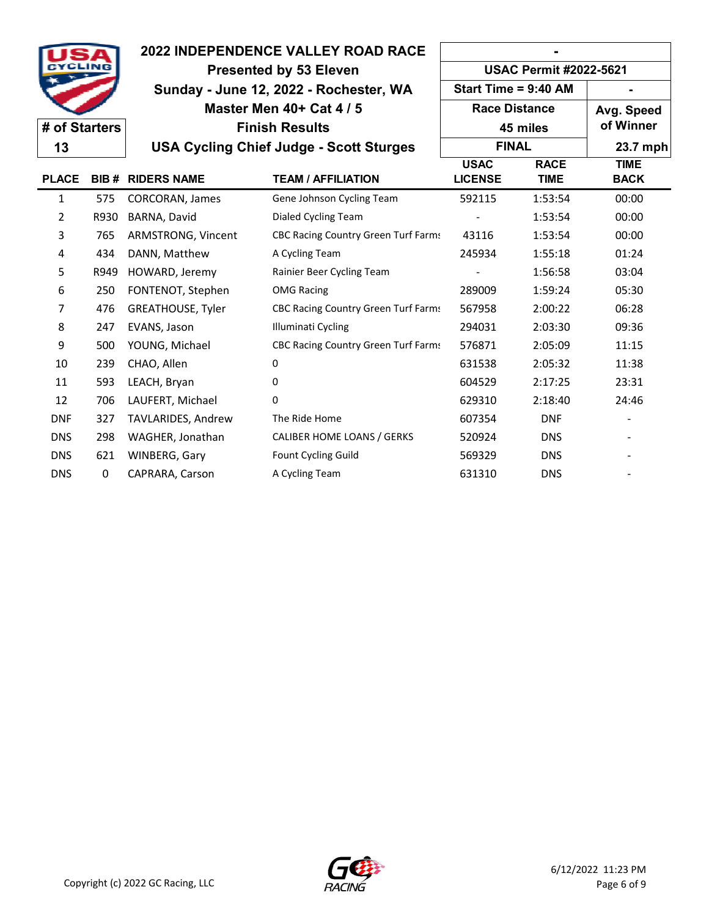|                |      |                                        | <b>2022 INDEPENDENCE VALLEY ROAD RACE</b>      |                               |                            |                            |  |
|----------------|------|----------------------------------------|------------------------------------------------|-------------------------------|----------------------------|----------------------------|--|
|                |      | <b>Presented by 53 Eleven</b>          |                                                | <b>USAC Permit #2022-5621</b> |                            |                            |  |
|                |      | Sunday - June 12, 2022 - Rochester, WA |                                                | Start Time = 9:40 AM          |                            |                            |  |
|                |      |                                        | Master Men 40+ Cat 4 / 5                       | <b>Race Distance</b>          |                            | Avg. Speed                 |  |
| # of Starters  |      |                                        | <b>Finish Results</b>                          |                               | 45 miles                   | of Winner                  |  |
| 13             |      |                                        | <b>USA Cycling Chief Judge - Scott Sturges</b> | <b>FINAL</b>                  |                            | 23.7 mph                   |  |
| <b>PLACE</b>   |      | <b>BIB # RIDERS NAME</b>               | <b>TEAM / AFFILIATION</b>                      | <b>USAC</b><br><b>LICENSE</b> | <b>RACE</b><br><b>TIME</b> | <b>TIME</b><br><b>BACK</b> |  |
| 1              | 575  | <b>CORCORAN, James</b>                 | Gene Johnson Cycling Team                      | 592115                        | 1:53:54                    | 00:00                      |  |
| $\overline{2}$ | R930 | BARNA, David                           | Dialed Cycling Team                            |                               | 1:53:54                    | 00:00                      |  |
| 3              | 765  | ARMSTRONG, Vincent                     | <b>CBC Racing Country Green Turf Farms</b>     | 43116                         | 1:53:54                    | 00:00                      |  |
| 4              | 434  | DANN, Matthew                          | A Cycling Team                                 | 245934                        | 1:55:18                    | 01:24                      |  |
| 5              | R949 | HOWARD, Jeremy                         | Rainier Beer Cycling Team                      |                               | 1:56:58                    | 03:04                      |  |
| 6              | 250  | FONTENOT, Stephen                      | <b>OMG Racing</b>                              | 289009                        | 1:59:24                    | 05:30                      |  |
| 7              | 476  | <b>GREATHOUSE, Tyler</b>               | <b>CBC Racing Country Green Turf Farms</b>     | 567958                        | 2:00:22                    | 06:28                      |  |
| 8              | 247  | EVANS, Jason                           | Illuminati Cycling                             | 294031                        | 2:03:30                    | 09:36                      |  |
| 9              | 500  | YOUNG, Michael                         | CBC Racing Country Green Turf Farms            | 576871                        | 2:05:09                    | 11:15                      |  |
| 10             | 239  | CHAO, Allen                            | 0                                              | 631538                        | 2:05:32                    | 11:38                      |  |
| 11             | 593  | LEACH, Bryan                           | 0                                              | 604529                        | 2:17:25                    | 23:31                      |  |
| 12             | 706  | LAUFERT, Michael                       | 0                                              | 629310                        | 2:18:40                    | 24:46                      |  |
| <b>DNF</b>     | 327  | TAVLARIDES, Andrew                     | The Ride Home                                  | 607354                        | <b>DNF</b>                 |                            |  |
| <b>DNS</b>     | 298  | WAGHER, Jonathan                       | CALIBER HOME LOANS / GERKS                     | 520924                        | <b>DNS</b>                 |                            |  |
| <b>DNS</b>     | 621  | WINBERG, Gary                          | Fount Cycling Guild                            | 569329                        | <b>DNS</b>                 |                            |  |
| <b>DNS</b>     | 0    | CAPRARA, Carson                        | A Cycling Team                                 | 631310                        | <b>DNS</b>                 |                            |  |

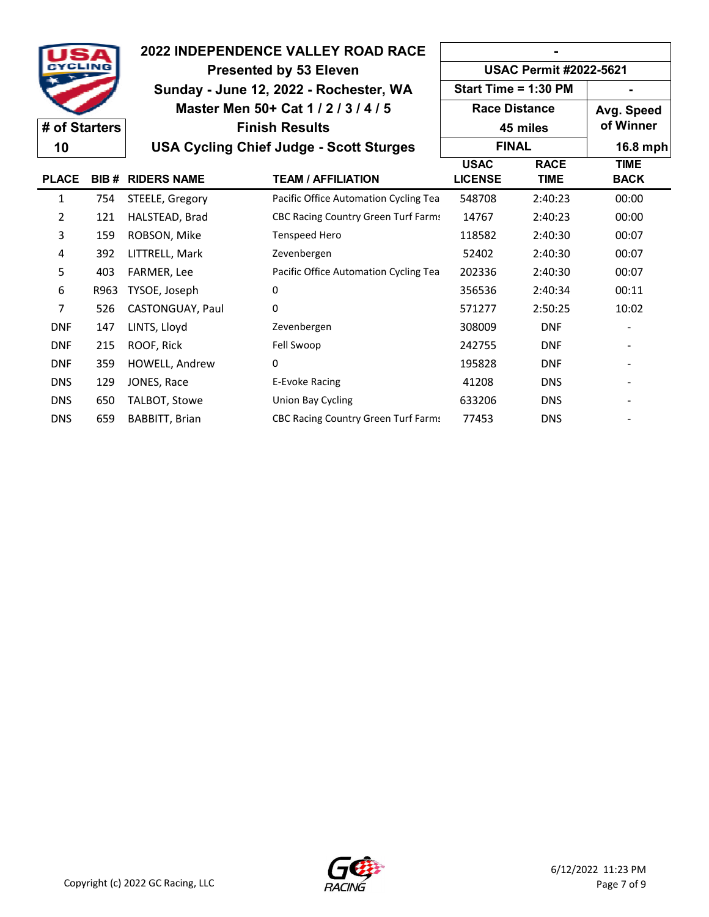|                |      |                                                                | <b>2022 INDEPENDENCE VALLEY ROAD RACE</b>      |                               |                            |                            |
|----------------|------|----------------------------------------------------------------|------------------------------------------------|-------------------------------|----------------------------|----------------------------|
|                |      | <b>USAC Permit #2022-5621</b><br><b>Presented by 53 Eleven</b> |                                                |                               |                            |                            |
|                |      |                                                                | Sunday - June 12, 2022 - Rochester, WA         | Start Time = $1:30$ PM        |                            |                            |
|                |      |                                                                | Master Men 50+ Cat 1 / 2 / 3 / 4 / 5           | <b>Race Distance</b>          |                            | Avg. Speed                 |
| # of Starters  |      |                                                                | <b>Finish Results</b>                          |                               | 45 miles                   | of Winner                  |
| 10             |      |                                                                | <b>USA Cycling Chief Judge - Scott Sturges</b> | <b>FINAL</b>                  |                            | 16.8 mph                   |
| <b>PLACE</b>   | BIB# | <b>RIDERS NAME</b>                                             | <b>TEAM / AFFILIATION</b>                      | <b>USAC</b><br><b>LICENSE</b> | <b>RACE</b><br><b>TIME</b> | <b>TIME</b><br><b>BACK</b> |
| 1              | 754  | STEELE, Gregory                                                | Pacific Office Automation Cycling Tea          | 548708                        | 2:40:23                    | 00:00                      |
| 2              | 121  | HALSTEAD, Brad                                                 | <b>CBC Racing Country Green Turf Farms</b>     | 14767                         | 2:40:23                    | 00:00                      |
| 3              | 159  | ROBSON, Mike                                                   | <b>Tenspeed Hero</b>                           | 118582                        | 2:40:30                    | 00:07                      |
| 4              | 392  | LITTRELL, Mark                                                 | Zevenbergen                                    | 52402                         | 2:40:30                    | 00:07                      |
| 5              | 403  | FARMER, Lee                                                    | Pacific Office Automation Cycling Tea          | 202336                        | 2:40:30                    | 00:07                      |
| 6              | R963 | TYSOE, Joseph                                                  | 0                                              | 356536                        | 2:40:34                    | 00:11                      |
| $\overline{7}$ | 526  | CASTONGUAY, Paul                                               | 0                                              | 571277                        | 2:50:25                    | 10:02                      |
| <b>DNF</b>     | 147  | LINTS, Lloyd                                                   | Zevenbergen                                    | 308009                        | <b>DNF</b>                 |                            |
| <b>DNF</b>     | 215  | ROOF, Rick                                                     | Fell Swoop                                     | 242755                        | <b>DNF</b>                 |                            |
| <b>DNF</b>     | 359  | HOWELL, Andrew                                                 | 0                                              | 195828                        | <b>DNF</b>                 |                            |
| <b>DNS</b>     | 129  | JONES, Race                                                    | E-Evoke Racing                                 | 41208                         | <b>DNS</b>                 |                            |
| <b>DNS</b>     | 650  | TALBOT, Stowe                                                  | Union Bay Cycling                              | 633206                        | <b>DNS</b>                 |                            |
| <b>DNS</b>     | 659  | BABBITT, Brian                                                 | <b>CBC Racing Country Green Turf Farms</b>     | 77453                         | <b>DNS</b>                 |                            |

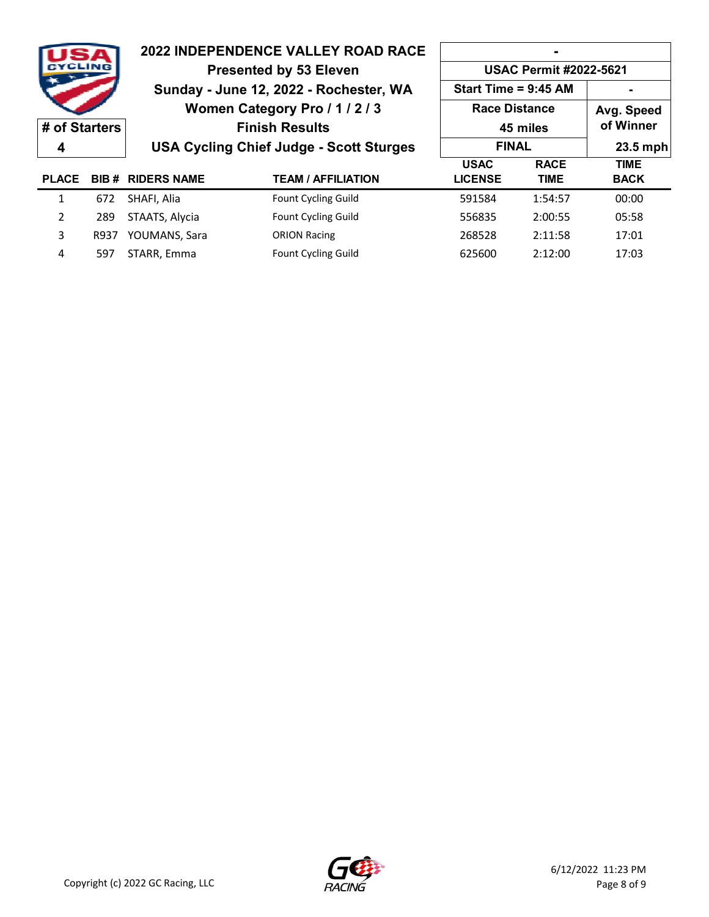|               |       |                                | <b>2022 INDEPENDENCE VALLEY ROAD RACE</b>      |                               |             |             |  |  |
|---------------|-------|--------------------------------|------------------------------------------------|-------------------------------|-------------|-------------|--|--|
|               | CLINR | <b>Presented by 53 Eleven</b>  |                                                | <b>USAC Permit #2022-5621</b> |             |             |  |  |
|               |       |                                | Sunday - June 12, 2022 - Rochester, WA         | Start Time = 9:45 AM          |             |             |  |  |
|               |       | Women Category Pro / 1 / 2 / 3 |                                                | <b>Race Distance</b>          |             | Avg. Speed  |  |  |
| # of Starters |       |                                | <b>Finish Results</b>                          | 45 miles                      |             | of Winner   |  |  |
| 4             |       |                                | <b>USA Cycling Chief Judge - Scott Sturges</b> | <b>FINAL</b>                  |             | 23.5 mph    |  |  |
|               |       |                                |                                                | <b>USAC</b>                   | <b>RACE</b> | <b>TIME</b> |  |  |
| <b>PLACE</b>  |       | <b>BIB # RIDERS NAME</b>       | <b>TEAM / AFFILIATION</b>                      | <b>LICENSE</b>                | <b>TIME</b> | <b>BACK</b> |  |  |
| 1             | 672   | SHAFI, Alia                    | <b>Fount Cycling Guild</b>                     | 591584                        | 1:54:57     | 00:00       |  |  |
| 2             | 289   | STAATS, Alycia                 | <b>Fount Cycling Guild</b>                     | 556835                        | 2:00:55     | 05:58       |  |  |
| 3             | R937  | YOUMANS, Sara                  | <b>ORION Racing</b>                            | 268528                        | 2:11:58     | 17:01       |  |  |
| 4             | 597   | STARR, Emma                    | <b>Fount Cycling Guild</b>                     | 625600                        | 2:12:00     | 17:03       |  |  |